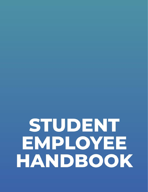# STUDENT EMPLOYEE HANDBOOK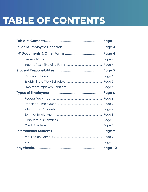# **TABLE OF CONTENTS**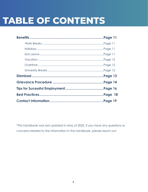# **TABLE OF CONTENTS**

\*This handbook was last updated in May of 2022. If you have any questions or concerns related to the information in this handbook, please reach out.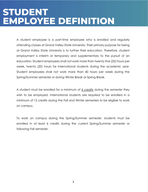# **STUDENT EMPLOYEE DEFINITION**

A student employee is a part-time employee who is enrolled and regularly attending classes at Grand Valley State University. Their primary purpose for being at Grand Valley State University is to further their education. Therefore, student employment is interim or temporary and supplementary to the pursuit of an education. Student employees shall not work more than twenty-five (25) hours per week, twenty (20) hours for international students during the academic year. Student employees shall not work more than 40 hours per week during the Spring/Summer semester or during Winter Break or Spring Break.

A student must be enrolled for a minimum of  $6$  credits during the semester they wish to be employed. International students are required to be enrolled in a minimum of 12 credits during the Fall and Winter semesters to be eligible to work on campus.

To work on campus during the Spring/Summer semester, students must be enrolled in at least 6 credits during the current Spring/Summer semester or following Fall semester.

3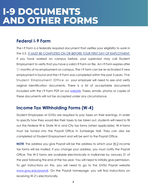# **I-9 DOCUMENTS AND OTHER FORMS**

#### **Federal I-9 Form**

The I-9 Form is a federally required document that verifies your eligibility to work in the U.S. IT MUST BE COMPLETED ON OR BEFORE YOUR FIRST DAY OF EMPLOYMENT. If you have worked on campus before, your supervisor may call Student Employment to verify that you have a valid I-9 Form on file. An I-9 Form expires after 11 months of no employment on campus. The I-9 form can be re-activated if new employment is found and the I-9 Form was completed within the past 3 years. The Student Employment Office or your employer will need to see and verify original identification documents. There is a list of acceptable documents included with the I-9 Form PDF on our [website.](https://www.gvsu.edu/studentjobs/new-employee-forms-4.htm) Faxes, emails, photos or copies of these documents will not be accepted under any circumstance.

### **Income Tax Withholding Forms (W-4)**

Student Employees at GVSU are required to pay taxes on their earnings. In order to specify how they would like their taxes to be taken out, students will need to fill out the Federal W-4, State W-4, and City tax forms (when applicable). W-4 forms must be turned into the Payroll Office in Zumberge Hall. They can also be completed at Student Employment and will be sent to the Payroll Office.

**NOTE**: The address you give Payroll will be the address to which your W-2 income tax forms will be mailed. If you change your address, you must notify the Payroll Office. The W-2 forms are available electronically in myBanner by January 31 of the year following the end of the tax year. You will need to initially give permission. To get instructions on this, you will need to go to the GVSU Payroll website [www.gvsu.edu/payroll.](http://www.gvsu.edu/payroll) On the Payroll homepage, you will find instructions on receiving W-2's electronically.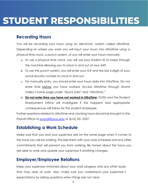# **STUDENT RESPONSIBILITIES**

#### **Recording Hours**

You will be recording your hours using an electronic system called UltraTime. Depending on where you work, you will input your hours into UltraTime using a physical time clock, a punch system, or you will enter your hours manually.

- a. To use a physical time clock, you will use your student ID to swipe through the machine allowing you to clock in and out of your shift.
- b. To use the punch system, you will enter your G# and the last 4 digits of your social security number to clock in and out.
- c. For manually entry, you should enter your hours daily into UltraTime. Do not enter time before you have worked. Access UltraTime through Grand Valley's home page under "Quick Links" and "UltraTime."
- d. **Do not enter time you have not worked in UltraTime**. GVSU and the Student Employment Office will investigate if this happens and appropriate consequences will follow for the student employee.

Further questions related to UltraTime and clocking hours should be brought to the Payroll Office at [payroll@gvsu.edu](mailto:payroll@gvsu.edu) or (616) 331-2237.

### **Establishing a Work Schedule**

Make sure that you and your supervisor are on the same page when it comes to the hours you will be working. Provide them with your class schedule and any other commitments that will prevent you from working. Be honest about the hours you are able to work and update your supervisor if anything changes.

### **Employer/Employee Relations**

Keep your supervisor informed about your work progress and any other issues that may arise at work. Also, make sure you understand your supervisor's expectations by asking questions when things are not clear.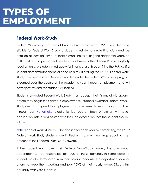# **TYPES OF EMPLOYMENT**

#### **Federal Work-Study**

Federal Work-study is a form of Financial Aid provided at GVSU. In order to be eligible for Federal Work-Study, a student must demonstrate financial need, be enrolled at least half-time (at least 6 credit hours during the academic year), be a U.S. citizen or permanent resident, and meet other Federal/State eligibility requirements. A student must apply for financial aid through filing the FAFSA. If a student demonstrates financial need as a result of filing the FAFSA, Federal Work-Study may be awarded. Money awarded under the Federal Work-Study program is earned over the course of the academic year through employment and will never pay toward the student's tuition bill.

Students awarded Federal Work-Study must accept their financial aid award before they begin their campus employment. Students awarded Federal Work-Study are not assigned to employment, but are asked to search for jobs online through our [Handshake](file://///office.ads.gvsu.edu/dfs/Financial-Aid-Data/SHARED/!%20SEO/Handbooks/Student/gvsu.joinhandshake.com/student_account_registrations/new%23/email) electronic job board. Each employer will have application instructions posted with their job description that the student should follow.

**NOTE:** Federal Work-Study must be applied for each year by completing the FAFSA. Federal Work-Study students are limited to maximum earnings equal to the amount of their Federal Work-Study award.

If the student earns over their Federal Work-Study award, the on-campus department will be responsible for 100% of those earnings. In some cases, a student may be terminated from their position because the department cannot afford to keep them working and pay 100% of their hourly wage. Discuss this possibility with your supervisor.

6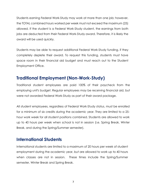Students earning Federal Work-Study may work at more than one job; however, the TOTAL combined hours worked per week must not exceed the maximum (25) allowed. If the student is a Federal Work-Study student, the earnings from both jobs are deducted from their Federal Work-Study award. Therefore, it is likely the award will be used quickly.

Students may be able to request additional Federal Work-Study funding, if they completely deplete their award. To request this funding, students must have space room in their financial aid budget and must reach out to the Student Employment Office.

#### **Traditional Employment (Non-Work-Study)**

Traditional student employees are paid 100% of their paycheck from the employing unit's budget. Regular employees may be receiving financial aid, but were not awarded Federal Work-Study as part of their award package.

All student employees, regardless of Federal Work-Study status, must be enrolled for a minimum of six credits during the academic year. They are limited to a 25 hour work week for all student positions combined. Students are allowed to work up to 40 hours per week when school is not in session (i.e. Spring Break, Winter Break, and during the Spring/Summer semester).

#### **International Students**

International students are limited to a maximum of 20 hours per week of student employment during the academic year, but are allowed to work up to 40 hours when classes are not in session. These times include the Spring/Summer semester, Winter Break and Spring Break.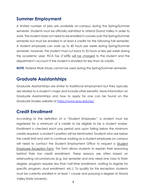### **Summer Employment**

A limited number of jobs are available on-campus during the Spring/Summer semester. Students must be officially admitted to attend Grand Valley in order to work. The student does not need to be enrolled in courses over the Spring/Summer semester but must be enrolled in at least 6 credits for the following Fall semester. A student employee can work up to 40 hours per week during Spring/Summer semester, however, the student must cut back to 25 hours or less per week during the academic year. FICA Tax (7.65%) will be charged to the student and the department's account if the student is enrolled for less than six credits.

**NOTE:** Federal Work-Study cannot be used during the Spring/Summer semester.

### **Graduate Assistantships**

Graduate Assistantships are similar to traditional employment but they typically are related to a student's major and include other benefits. More information on Graduate Assistantships and how to apply for one can be found on the Graduate Studies website at [https://www.gvsu.edu/gs/.](https://www.gvsu.edu/gs/)

### **Credit Enrollment**

According to the definition of a "Student Employee," a student must be registered for a minimum of 6 credits to be eligible to be a student worker. Enrollment is checked each pay period and upon falling below the minimum credits required, a student's position will be terminated. Students who are below the credit limit and wish to continue working as a student employee on campus will need to contact the Student Employment Office to request a Student Employee Exception Form. This form allows students to explain their reasoning behind their low credit enrollment. These reasons are often based on extenuating circumstances (e.g. last semester and only need one class to finish degree, program requires less than half-time enrollment, waiting to register for specific program, dual enrollment, etc.). To qualify for this exception, students must be currently enrolled in at least 1 course and pursuing a degree at Grand Valley State University.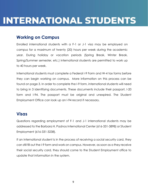# **INTERNATIONAL STUDENTS**

#### **Working on Campus**

Enrolled international students with a F-1 or J-1 visa may be employed on campus for a maximum of twenty (20) hours per week during the academic year. During holiday or vacation periods (Spring Break, Winter Break, Spring/Summer semester, etc.) international students are permitted to work up to 40 hours per week.

International students must complete a Federal I-9 Form and W-4 tax forms before they can begin working on campus. More information on this process can be found on page 3. In order to complete the I-9 form, international students will need to bring in 3 identifying documents. These documents include their passport, I-20 form and I-94. The passport must be original and unexpired. The Student Employment Office can look up an I-94 record if necessary.

#### **Visas**

Questions regarding employment of F-1 and J-1 international students may be addressed to the Barbara H. Padnos International Center (616-331-3898) or Student Employment (616-331-3238).

If an international student is in the process of receiving a social security card, they can still fill out the I-9 form and work on campus. However, as soon as a they receive their social security card, they should come to the Student Employment office to update that information in the system.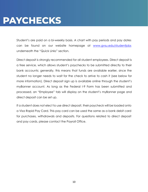# **PAYCHECKS**

Student's are paid on a bi-weekly basis. A chart with pay periods and pay dates can be found on our website homepage at [www.gvsu.edu/studentjobs](http://www.gvsu.edu/studentjobs) underneath the "Quick Links" section.

Direct deposit is strongly recommended for all student employees. Direct deposit is a free service, which allows student's paychecks to be submitted directly to their bank accounts; generally, this means that funds are available earlier, since the student no longer needs to wait for the check to arrive to cash it (see below for more information). Direct deposit sign up is available online through the student's myBanner account. As long as the Federal I-9 Form has been submitted and processed, an "Employee" tab will display on the student's myBanner page and direct deposit can be set up.

If a student does not elect to use direct deposit, their paycheck will be loaded onto a Visa Rapid Pay Card. This pay card can be used the same as a bank debit card for purchases, withdrawals and deposits. For questions related to direct deposit and pay cards, please contact the Payroll Office.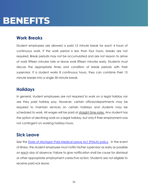# **BENEFITS**

#### **Work Breaks**

Student employees are allowed a paid 15 minute break for each 4 hours of continuous work. If the work period is less than four hours, breaks are not required. Break periods may not be accumulated and are not reason to arrive at work fifteen minutes late or leave work fifteen minutes early. Students must discuss the appropriate times and condition of break periods with their supervisor. If a student works 8 continuous hours, they can combine their 15 minute breaks into a single 30 minute break.

#### **Holidays**

In general, student employees are not required to work on a legal holiday nor are they paid holiday pay. However, certain offices/departments may be required to maintain services on certain holidays and students may be scheduled to work. All wages will be paid at straight time rates. Any student has the option of declining work on a legal holiday, but only if their employment was not contingent on working holiday hours.

#### **Sick Leave**

See the [State of Michigan Paid Medical Leave Act \(PMLA\) policy.](https://www.gvsu.edu/cms4/asset/8C4E1AC3-E6F3-6E48-CA82C61D3EE8C19F/paid_medical_leave_act_pmla_policy_final.pdf) In the event of illness, the student employee must notify his/her supervisor as early as possible on each day of absence. Failure to give notification shall be cause for dismissal or other appropriate employment corrective action. Students are not eligible to receive paid sick leave.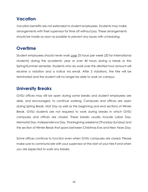#### **Vacation**

Vacation benefits are not extended to student employees. Students may make arrangements with their supervisor for time off without pay. These arrangements should be made as soon as possible to prevent any issues with scheduling.

# **Overtime**

Student employees should never work over 25 hours per week (20 for international students) during the academic year or over 40 hours during a break or the Spring/Summer semester. Students who do work over the allotted hour amount will receive a violation and a notice via email. After 3 violations, the hire will be terminated and the student will no longer be able to work on campus.

### **University Breaks**

GVSU offices may still be open during some breaks and student employees are able, and encouraged, to continue working. Campuses and offices are open during Spring Break, MLK Day as well as the beginning and end sections of Winter Break. GVSU students are not required to work during breaks in which GVSU campuses and offices are closed. These breaks usually include Labor Day, Memorial Day, Independence Day, Thanksgiving weekend (Thursday-Sunday) and the section of Winter Break that spans between Christmas Eve and New Years Day.

Some offices continue to function even when GVSU campuses are closed. Please make sure to communicate with your supervisor at the start of your hire if and when you are expected to work any breaks.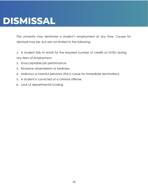# **DISMISSAL**

The university may terminate a student's employment at any time. Causes for dismissal may be, but are not limited to the following:

1. A student fails to enroll for the required number of credits at GVSU during any term of employment.

- 2. Unacceptable job performance.
- 3. Excessive absenteeism or tardiness.
- 4. Malicious or harmful behavior (this is cause for immediate termination).
- 5. A student is convicted of a criminal offense.
- 6. Lack of departmental funding.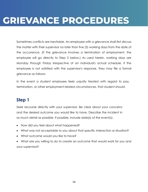# **GRIEVANCE PROCEDURES**

Sometimes conflicts are inevitable. An employee with a grievance shall first discuss the matter with their supervisor no later than five (5) working days from the date of the occurrence. (If the grievance involves a termination of employment, the employee will go directly to Step 2 below.) As used herein, working days are Monday through Friday irrespective of an individual's actual schedule. If the employee is not satisfied with the supervisor's response, they may file a formal grievance as follows:

In the event a student employee feels unjustly treated with regard to pay, termination, or other employment related circumstances, that student should:

# **Step 1**

Seek recourse directly with your supervisor. Be clear about your concerns and the desired outcome you would like to have. Describe the incident in as much detail as possible. If possible, include date(s) of the event(s).

- How did you feel about what happened?
- What was not acceptable to you about that specific interaction or situation?
- What outcome would you like to have?
- What are you willing to do to create an outcome that would work for you and your supervisor?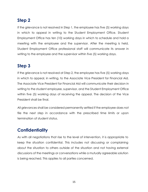# **Step 2**

If the grievance is not resolved in Step 1, the employee has five (5) working days in which to appeal in writing to the Student Employment Office. Student Employment Office has ten (10) working days in which to schedule and hold a meeting with the employee and the supervisor. After the meeting is held, Student Employment Office professional staff will communicate its answer in writing to the employee and the supervisor within five (5) working days.

# **Step 3**

If the grievance is not resolved at Step 2, the employee has five (5) working days in which to appeal, in writing, to the Associate Vice President for Financial Aid. The Associate Vice President for Financial Aid will communicate their decision in writing to the student employee, supervisor, and the Student Employment Office within five (5) working days of receiving the appeal. The decision of the Vice President shall be final.

All grievances shall be considered permanently settled if the employee does not file the next step in accordance with the prescribed time limits or upon termination of student status.

# **Confidentiality**

As with all negotiations that rise to the level of intervention, it is appropriate to keep the situation confidential. This includes not discussing or complaining about the situation to others outside of the situation and not having external discussions of the meetings or conversations while a mutually agreeable solution is being reached. This applies to all parties concerned.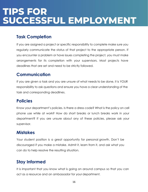# **TIPS FOR** SUCCESSFUL EMPLOYMENT

# **Task Completion**

If you are assigned a project or specific responsibility to complete make sure you regularly communicate the status of that project to the appropriate person. If you encounter a problem or have issues completing the project, you must make arrangements for its completion with your supervisors. Most projects have deadlines that are set and need to be strictly followed.

#### **Communication**

If you are given a task and you are unsure of what needs to be done, it is YOUR responsibility to ask questions and ensure you have a clear understanding of the task and corresponding deadlines.

#### **Policies**

Know your department's policies. Is there a dress code? What is the policy on cell phone use while at work? How do short breaks or lunch breaks work in your department? If you are unsure about any of these policies, please ask your supervisor.

### **Mistakes**

Your student position is a great opportunity for personal growth. Don't be discouraged if you make a mistake. Admit it, learn from it, and ask what you can do to help resolve the resulting situation.

### **Stay Informed**

It is important that you know what is going on around campus so that you can act as a resource and an ambassador for your department.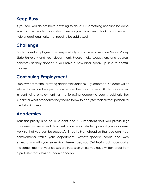# **Keep Busy**

If you feel you do not have anything to do, ask if something needs to be done. You can always clean and straighten up your work area. Look for someone to help or additional tasks that need to be addressed.

# **Challenge**

Each student employee has a responsibility to continue toimprove Grand Valley State University and your department. Please make suggestions and address concerns as they appear. If you have a new idea, speak up in a respectful manner.

# **Continuing Employment**

Employment for the following academic year is NOT guaranteed. Students will be rehired based on their performance from the previous year. Students interested in continuing employment for the following academic year should ask their supervisor what procedure they should follow to apply for their current position for the following year.

# **Academics**

Your first priority is to be a student and it is important that you pursue high academic achievement. You must balance your student job and your academic work so that you can be successful in both. Plan ahead so that you can meet commitments within your department. Review specific needs and work expectations with your supervisor. Remember, you CANNOT clock hours during the same time that your classes are in session unless you have written proof from a professor that class has been cancelled.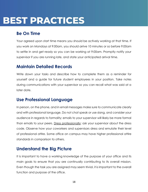# **BEST PRACTICES**

# **Be On Time**

Your agreed upon start time means you should be actively working at that time. If you work on Mondays at 9:00am, you should arrive 10 minutes or so before 9:00am to settle in and get ready so you can be working at 9:00am. Promptly notify your supervisor if you are running late, and state your anticipated arrival time.

### **Maintain Detailed Records**

Write down your tasks and describe how to complete them as a reminder for yourself and a guide for future student employees in your position. Take notes during communications with your supervisor so you can recall what was said at a later date.

### **Use Professional Language**

In person, on the phone, and in email messages make sure to communicate clearly and with professional language. Do not chat speak or use slang, and consider your audience in regards to formality; emails to your supervisor will likely be more formal than emails to your peers. Dress professionally; ask your supervisor about the dress code. Observe how your coworkers and supervisors dress and emulate their level of professional attire. Some office on campus may have higher professional attire standards in comparison to others.

# **Understand the Big Picture**

It is important to have a working knowledge of the purpose of your office and its main goals to ensure that you are continually contributing to its overall mission. Even though the task you are assigned may seem trivial, it is important to the overall function and purpose of the office.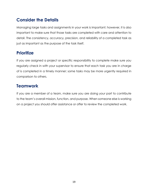# **Consider the Details**

Managing large tasks and assignments in your work is important; however, it is also important to make sure that those tasks are completed with care and attention to detail. The consistency, accuracy, precision, and reliability of a completed task as just as important as the purpose of the task itself.

### **Prioritize**

If you are assigned a project or specific responsibility to complete make sure you regularly check in with your supervisor to ensure that each task you are in charge of is completed in a timely manner; some tasks may be more urgently required in comparison to others.

### **Teamwork**

If you are a member of a team, make sure you are doing your part to contribute to the team's overall mission, function, and purpose. When someone else is working on a project you should offer assistance or offer to review the completed work.